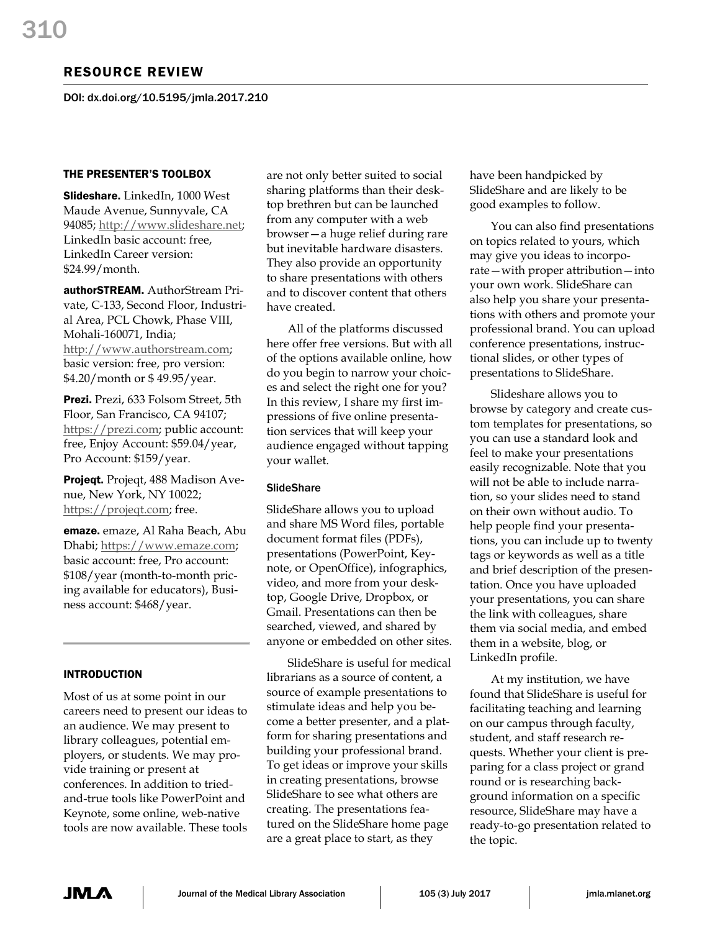# RESOURCE REVIEW

DOI: dx.doi.org/10.5195/jmla.2017.210

## THE PRESENTER'S TOOLBOX

Slideshare. LinkedIn, 1000 West Maude Avenue, Sunnyvale, CA 94085; [http://www.slideshare.net;](http://www.slideshare.net/) LinkedIn basic account: free, LinkedIn Career version: \$24.99/month.

authorSTREAM. AuthorStream Private, C-133, Second Floor, Industrial Area, PCL Chowk, Phase VIII, Mohali-160071, India; [http://www.authorstream.com;](http://www.authorstream.com/)  basic version: free, pro version: \$4.20/month or \$ 49.95/year.

Prezi. Prezi, 633 Folsom Street, 5th Floor, San Francisco, CA 94107; [https://prezi.com;](https://prezi.com/) public account: free, Enjoy Account: \$59.04/year, Pro Account: \$159/year.

Projeqt. Projeqt, 488 Madison Avenue, New York, NY 10022; [https://projeqt.com;](https://projeqt.com/) free.

emaze. emaze, Al Raha Beach, Abu Dhabi; [https://www.emaze.com;](https://www.emaze.com/) basic account: free, Pro account: \$108/year (month-to-month pricing available for educators), Business account: \$468/year.

## INTRODUCTION

Most of us at some point in our careers need to present our ideas to an audience. We may present to library colleagues, potential employers, or students. We may provide training or present at conferences. In addition to triedand-true tools like PowerPoint and Keynote, some online, web-native tools are now available. These tools are not only better suited to social sharing platforms than their desktop brethren but can be launched from any computer with a web browser—a huge relief during rare but inevitable hardware disasters. They also provide an opportunity to share presentations with others and to discover content that others have created.

All of the platforms discussed here offer free versions. But with all of the options available online, how do you begin to narrow your choices and select the right one for you? In this review, I share my first impressions of five online presentation services that will keep your audience engaged without tapping your wallet.

### **SlideShare**

SlideShare allows you to upload and share MS Word files, portable document format files (PDFs), presentations (PowerPoint, Keynote, or OpenOffice), infographics, video, and more from your desktop, Google Drive, Dropbox, or Gmail. Presentations can then be searched, viewed, and shared by anyone or embedded on other sites.

SlideShare is useful for medical librarians as a source of content, a source of example presentations to stimulate ideas and help you become a better presenter, and a platform for sharing presentations and building your professional brand. To get ideas or improve your skills in creating presentations, browse SlideShare to see what others are creating. The presentations featured on the SlideShare home page are a great place to start, as they

have been handpicked by SlideShare and are likely to be good examples to follow.

You can also find presentations on topics related to yours, which may give you ideas to incorporate—with proper attribution—into your own work. SlideShare can also help you share your presentations with others and promote your professional brand. You can upload conference presentations, instructional slides, or other types of presentations to SlideShare.

Slideshare allows you to browse by category and create custom templates for presentations, so you can use a standard look and feel to make your presentations easily recognizable. Note that you will not be able to include narration, so your slides need to stand on their own without audio. To help people find your presentations, you can include up to twenty tags or keywords as well as a title and brief description of the presentation. Once you have uploaded your presentations, you can share the link with colleagues, share them via social media, and embed them in a website, blog, or LinkedIn profile.

At my institution, we have found that SlideShare is useful for facilitating teaching and learning on our campus through faculty, student, and staff research requests. Whether your client is preparing for a class project or grand round or is researching background information on a specific resource, SlideShare may have a ready-to-go presentation related to the topic.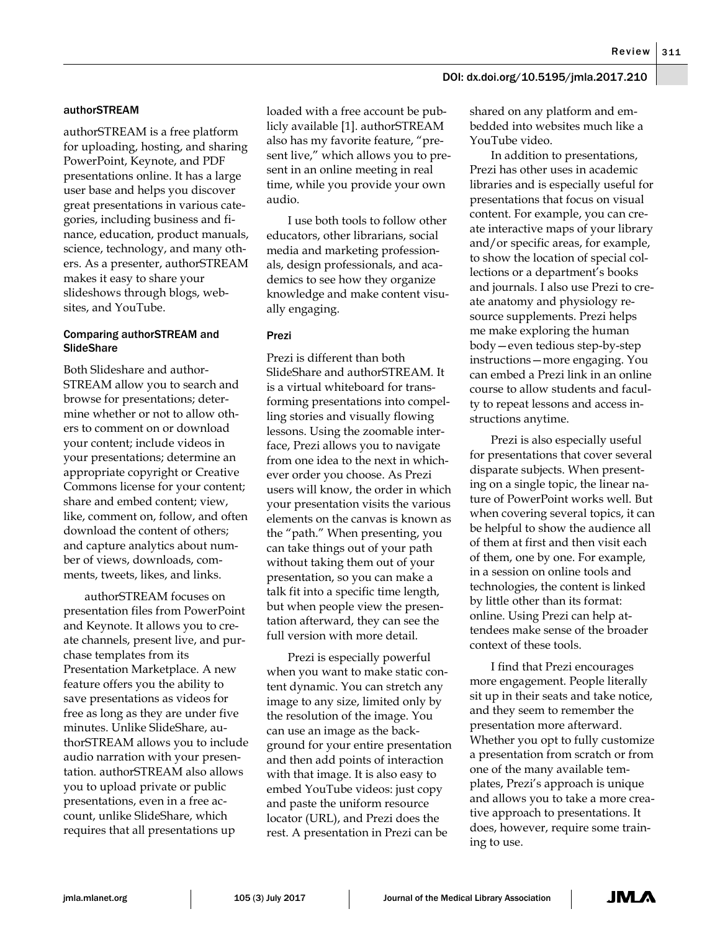### DOI: dx.doi.org/10.5195/jmla.2017.210

#### authorSTREAM

authorSTREAM is a free platform for uploading, hosting, and sharing PowerPoint, Keynote, and PDF presentations online. It has a large user base and helps you discover great presentations in various categories, including business and finance, education, product manuals, science, technology, and many others. As a presenter, authorSTREAM makes it easy to share your slideshows through blogs, websites, and YouTube.

#### Comparing authorSTREAM and **SlideShare**

Both Slideshare and author-STREAM allow you to search and browse for presentations; determine whether or not to allow others to comment on or download your content; include videos in your presentations; determine an appropriate copyright or Creative Commons license for your content; share and embed content; view, like, comment on, follow, and often download the content of others; and capture analytics about number of views, downloads, comments, tweets, likes, and links.

authorSTREAM focuses on presentation files from PowerPoint and Keynote. It allows you to create channels, present live, and purchase templates from its Presentation Marketplace. A new feature offers you the ability to save presentations as videos for free as long as they are under five minutes. Unlike SlideShare, authorSTREAM allows you to include audio narration with your presentation. authorSTREAM also allows you to upload private or public presentations, even in a free account, unlike SlideShare, which requires that all presentations up

loaded with a free account be publicly available [1]. authorSTREAM also has my favorite feature, "present live," which allows you to present in an online meeting in real time, while you provide your own audio.

I use both tools to follow other educators, other librarians, social media and marketing professionals, design professionals, and academics to see how they organize knowledge and make content visually engaging.

#### Prezi

Prezi is different than both SlideShare and authorSTREAM. It is a virtual whiteboard for transforming presentations into compelling stories and visually flowing lessons. Using the zoomable interface, Prezi allows you to navigate from one idea to the next in whichever order you choose. As Prezi users will know, the order in which your presentation visits the various elements on the canvas is known as the "path." When presenting, you can take things out of your path without taking them out of your presentation, so you can make a talk fit into a specific time length, but when people view the presentation afterward, they can see the full version with more detail.

Prezi is especially powerful when you want to make static content dynamic. You can stretch any image to any size, limited only by the resolution of the image. You can use an image as the background for your entire presentation and then add points of interaction with that image. It is also easy to embed YouTube videos: just copy and paste the uniform resource locator (URL), and Prezi does the rest. A presentation in Prezi can be

shared on any platform and embedded into websites much like a YouTube video.

In addition to presentations, Prezi has other uses in academic libraries and is especially useful for presentations that focus on visual content. For example, you can create interactive maps of your library and/or specific areas, for example, to show the location of special collections or a department's books and journals. I also use Prezi to create anatomy and physiology resource supplements. Prezi helps me make exploring the human body—even tedious step-by-step instructions—more engaging. You can embed a Prezi link in an online course to allow students and faculty to repeat lessons and access instructions anytime.

Prezi is also especially useful for presentations that cover several disparate subjects. When presenting on a single topic, the linear nature of PowerPoint works well. But when covering several topics, it can be helpful to show the audience all of them at first and then visit each of them, one by one. For example, in a session on online tools and technologies, the content is linked by little other than its format: online. Using Prezi can help attendees make sense of the broader context of these tools.

I find that Prezi encourages more engagement. People literally sit up in their seats and take notice, and they seem to remember the presentation more afterward. Whether you opt to fully customize a presentation from scratch or from one of the many available templates, Prezi's approach is unique and allows you to take a more creative approach to presentations. It does, however, require some training to use.